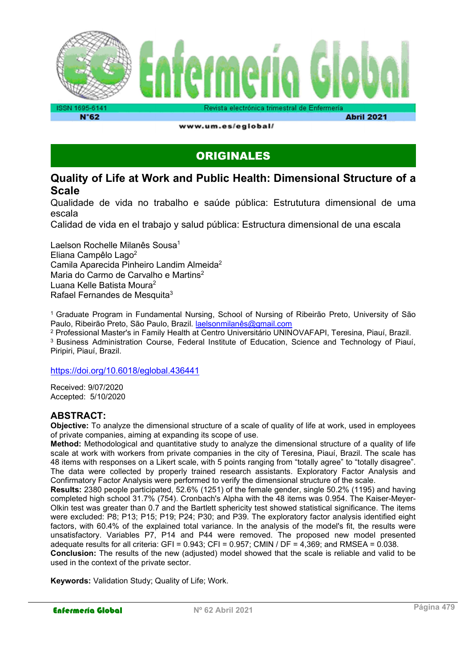

www.um.es/eglobal/

**Abril 2021** 

### ORIGINALES

### Quality of Life at Work and Public Health: Dimensional Structure of a Scale

Qualidade de vida no trabalho e saúde pública: Estrututura dimensional de uma escala

Calidad de vida en el trabajo y salud pública: Estructura dimensional de una escala

Laelson Rochelle Milanês Sousa<sup>1</sup> Eliana Campêlo Lago<sup>2</sup> Camila Aparecida Pinheiro Landim Almeida<sup>2</sup> Maria do Carmo de Carvalho e Martins<sup>2</sup> Luana Kelle Batista Moura<sup>2</sup> Rafael Fernandes de Mesquita<sup>3</sup>

<sup>1</sup>Graduate Program in Fundamental Nursing, School of Nursing of Ribeirão Preto, University of São Paulo, Ribeirão Preto, São Paulo, Brazil. laelsonmilanês@gmail.com

2 Professional Master's in Family Health at Centro Universitário UNINOVAFAPI, Teresina, Piauí, Brazil.

<sup>3</sup> Business Administration Course, Federal Institute of Education, Science and Technology of Piauí, Piripiri, Piauí, Brazil.

https://doi.org/10.6018/eglobal.436441

Received: 9/07/2020 Accepted: 5/10/2020

#### ABSTRACT:

Objective: To analyze the dimensional structure of a scale of quality of life at work, used in employees of private companies, aiming at expanding its scope of use.

Method: Methodological and quantitative study to analyze the dimensional structure of a quality of life scale at work with workers from private companies in the city of Teresina, Piauí, Brazil. The scale has 48 items with responses on a Likert scale, with 5 points ranging from "totally agree" to "totally disagree". The data were collected by properly trained research assistants. Exploratory Factor Analysis and Confirmatory Factor Analysis were performed to verify the dimensional structure of the scale.

Results: 2380 people participated, 52.6% (1251) of the female gender, single 50.2% (1195) and having completed high school 31.7% (754). Cronbach's Alpha with the 48 items was 0.954. The Kaiser-Meyer-Olkin test was greater than 0.7 and the Bartlett sphericity test showed statistical significance. The items were excluded: P8; P13; P15; P19; P24; P30; and P39. The exploratory factor analysis identified eight factors, with 60.4% of the explained total variance. In the analysis of the model's fit, the results were unsatisfactory. Variables P7, P14 and P44 were removed. The proposed new model presented adequate results for all criteria: GFI =  $0.943$ ; CFI =  $0.957$ ; CMIN / DF =  $4,369$ ; and RMSEA =  $0.038$ . Conclusion: The results of the new (adjusted) model showed that the scale is reliable and valid to be used in the context of the private sector.

Keywords: Validation Study; Quality of Life; Work.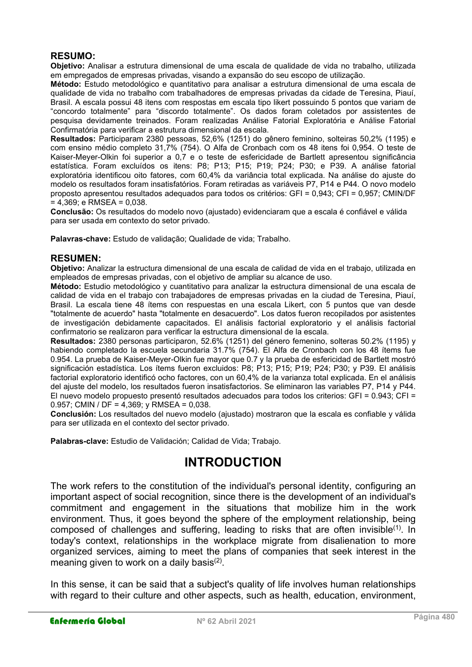### RESUMO:

Objetivo: Analisar a estrutura dimensional de uma escala de qualidade de vida no trabalho, utilizada em empregados de empresas privadas, visando a expansão do seu escopo de utilização.

Método: Estudo metodológico e quantitativo para analisar a estrutura dimensional de uma escala de qualidade de vida no trabalho com trabalhadores de empresas privadas da cidade de Teresina, Piauí, Brasil. A escala possui 48 itens com respostas em escala tipo likert possuindo 5 pontos que variam de "concordo totalmente" para "discordo totalmente". Os dados foram coletados por assistentes de pesquisa devidamente treinados. Foram realizadas Análise Fatorial Exploratória e Análise Fatorial Confirmatória para verificar a estrutura dimensional da escala.

Resultados: Participaram 2380 pessoas, 52,6% (1251) do gênero feminino, solteiras 50,2% (1195) e com ensino médio completo 31,7% (754). O Alfa de Cronbach com os 48 itens foi 0,954. O teste de Kaiser-Meyer-Olkin foi superior a 0,7 e o teste de esfericidade de Bartlett apresentou significância estatística. Foram excluídos os itens: P8; P13; P15; P19; P24; P30; e P39. A análise fatorial exploratória identificou oito fatores, com 60,4% da variância total explicada. Na análise do ajuste do modelo os resultados foram insatisfatórios. Foram retiradas as variáveis P7, P14 e P44. O novo modelo proposto apresentou resultados adequados para todos os critérios: GFI = 0,943; CFI = 0,957; CMIN/DF  $= 4,369$ ; e RMSEA = 0,038.

Conclusão: Os resultados do modelo novo (ajustado) evidenciaram que a escala é confiável e válida para ser usada em contexto do setor privado.

Palavras-chave: Estudo de validação; Qualidade de vida; Trabalho.

#### RESUMEN:

Objetivo: Analizar la estructura dimensional de una escala de calidad de vida en el trabajo, utilizada en empleados de empresas privadas, con el objetivo de ampliar su alcance de uso.

Método: Estudio metodológico y cuantitativo para analizar la estructura dimensional de una escala de calidad de vida en el trabajo con trabajadores de empresas privadas en la ciudad de Teresina, Piauí, Brasil. La escala tiene 48 ítems con respuestas en una escala Likert, con 5 puntos que van desde "totalmente de acuerdo" hasta "totalmente en desacuerdo". Los datos fueron recopilados por asistentes de investigación debidamente capacitados. El análisis factorial exploratorio y el análisis factorial confirmatorio se realizaron para verificar la estructura dimensional de la escala.

Resultados: 2380 personas participaron, 52.6% (1251) del género femenino, solteras 50.2% (1195) y habiendo completado la escuela secundaria 31.7% (754). El Alfa de Cronbach con los 48 ítems fue 0.954. La prueba de Kaiser-Meyer-Olkin fue mayor que 0.7 y la prueba de esfericidad de Bartlett mostró significación estadística. Los ítems fueron excluidos: P8; P13; P15; P19; P24; P30; y P39. El análisis factorial exploratorio identificó ocho factores, con un 60,4% de la varianza total explicada. En el análisis del ajuste del modelo, los resultados fueron insatisfactorios. Se eliminaron las variables P7, P14 y P44. El nuevo modelo propuesto presentó resultados adecuados para todos los criterios: GFI =  $0.943$ ; CFI = 0.957; CMIN / DF = 4,369; y RMSEA =  $0.038$ .

Conclusión: Los resultados del nuevo modelo (ajustado) mostraron que la escala es confiable y válida para ser utilizada en el contexto del sector privado.

Palabras-clave: Estudio de Validación; Calidad de Vida; Trabajo.

# INTRODUCTION

The work refers to the constitution of the individual's personal identity, configuring an important aspect of social recognition, since there is the development of an individual's commitment and engagement in the situations that mobilize him in the work environment. Thus, it goes beyond the sphere of the employment relationship, being composed of challenges and suffering, leading to risks that are often invisible<sup>(1)</sup>. In today's context, relationships in the workplace migrate from disalienation to more organized services, aiming to meet the plans of companies that seek interest in the meaning given to work on a daily basis<sup>(2)</sup>.

In this sense, it can be said that a subject's quality of life involves human relationships with regard to their culture and other aspects, such as health, education, environment,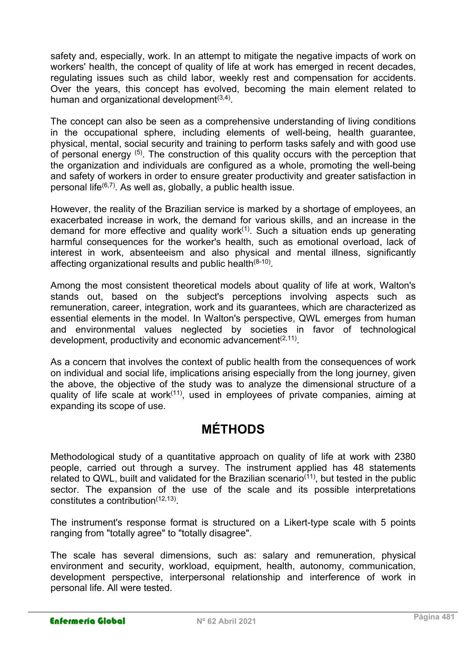safety and, especially, work. In an attempt to mitigate the negative impacts of work on workers' health, the concept of quality of life at work has emerged in recent decades, regulating issues such as child labor, weekly rest and compensation for accidents. Over the years, this concept has evolved, becoming the main element related to human and organizational development $^{\left( 3,4\right) }$ .

The concept can also be seen as a comprehensive understanding of living conditions in the occupational sphere, including elements of well-being, health guarantee, physical, mental, social security and training to perform tasks safely and with good use of personal energy (5). The construction of this quality occurs with the perception that the organization and individuals are configured as a whole, promoting the well-being and safety of workers in order to ensure greater productivity and greater satisfaction in personal life $(6,7)$ . As well as, globally, a public health issue.

However, the reality of the Brazilian service is marked by a shortage of employees, an exacerbated increase in work, the demand for various skills, and an increase in the demand for more effective and quality work $(1)$ . Such a situation ends up generating harmful consequences for the worker's health, such as emotional overload, lack of interest in work, absenteeism and also physical and mental illness, significantly affecting organizational results and public health $^{(8\text{-}10)}$ .

Among the most consistent theoretical models about quality of life at work, Walton's stands out, based on the subject's perceptions involving aspects such as remuneration, career, integration, work and its guarantees, which are characterized as essential elements in the model. In Walton's perspective, QWL emerges from human and environmental values neglected by societies in favor of technological development, productivity and economic advancement $(2,11)$ .

As a concern that involves the context of public health from the consequences of work on individual and social life, implications arising especially from the long journey, given the above, the objective of the study was to analyze the dimensional structure of a quality of life scale at work $(11)$ , used in employees of private companies, aiming at expanding its scope of use.

# MÉTHODS

Methodological study of a quantitative approach on quality of life at work with 2380 people, carried out through a survey. The instrument applied has 48 statements related to QWL, built and validated for the Brazilian scenario<sup>(11)</sup>, but tested in the public sector. The expansion of the use of the scale and its possible interpretations constitutes a contribution<sup>(12,13)</sup>.

The instrument's response format is structured on a Likert-type scale with 5 points ranging from "totally agree" to "totally disagree".

The scale has several dimensions, such as: salary and remuneration, physical environment and security, workload, equipment, health, autonomy, communication, development perspective, interpersonal relationship and interference of work in personal life. All were tested.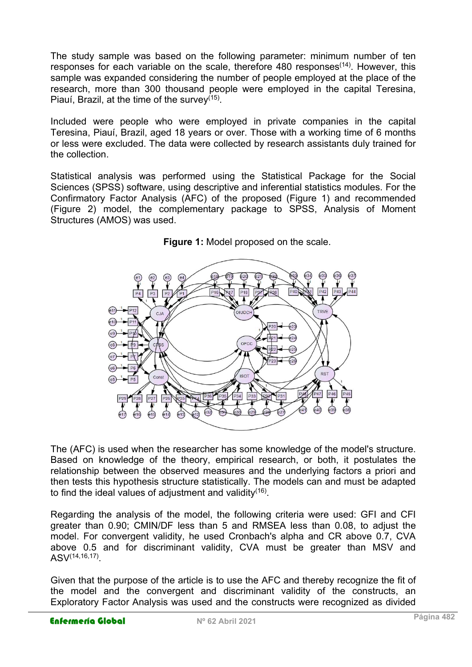The study sample was based on the following parameter: minimum number of ten responses for each variable on the scale, therefore  $480$  responses<sup> $(14)$ </sup>. However, this sample was expanded considering the number of people employed at the place of the research, more than 300 thousand people were employed in the capital Teresina, Piauí, Brazil, at the time of the survey<sup>(15)</sup>.

Included were people who were employed in private companies in the capital Teresina, Piauí, Brazil, aged 18 years or over. Those with a working time of 6 months or less were excluded. The data were collected by research assistants duly trained for the collection.

Statistical analysis was performed using the Statistical Package for the Social Sciences (SPSS) software, using descriptive and inferential statistics modules. For the Confirmatory Factor Analysis (AFC) of the proposed (Figure 1) and recommended (Figure 2) model, the complementary package to SPSS, Analysis of Moment Structures (AMOS) was used.





The (AFC) is used when the researcher has some knowledge of the model's structure. Based on knowledge of the theory, empirical research, or both, it postulates the relationship between the observed measures and the underlying factors a priori and then tests this hypothesis structure statistically. The models can and must be adapted to find the ideal values of adjustment and validity $^{\left(16\right)}$ .

Regarding the analysis of the model, the following criteria were used: GFI and CFI greater than 0.90; CMIN/DF less than 5 and RMSEA less than 0.08, to adjust the model. For convergent validity, he used Cronbach's alpha and CR above 0.7, CVA above 0.5 and for discriminant validity, CVA must be greater than MSV and ASV(14,16,17) .

Given that the purpose of the article is to use the AFC and thereby recognize the fit of the model and the convergent and discriminant validity of the constructs, an Exploratory Factor Analysis was used and the constructs were recognized as divided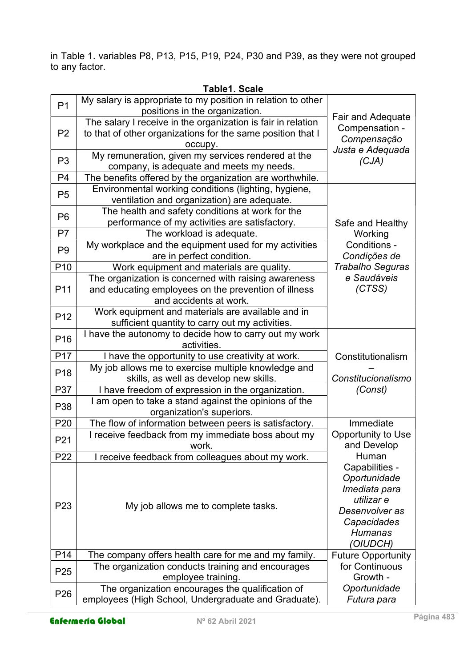in Table 1. variables P8, P13, P15, P19, P24, P30 and P39, as they were not grouped to any factor.

| P <sub>1</sub>  | My salary is appropriate to my position in relation to other<br>positions in the organization.                                         |                                                                                                                              |  |  |  |
|-----------------|----------------------------------------------------------------------------------------------------------------------------------------|------------------------------------------------------------------------------------------------------------------------------|--|--|--|
| P <sub>2</sub>  | The salary I receive in the organization is fair in relation<br>to that of other organizations for the same position that I<br>occupy. | <b>Fair and Adequate</b><br>Compensation -<br>Compensação<br>Justa e Adequada                                                |  |  |  |
| P <sub>3</sub>  | My remuneration, given my services rendered at the<br>company, is adequate and meets my needs.                                         | (CJA)                                                                                                                        |  |  |  |
| P4              | The benefits offered by the organization are worthwhile.                                                                               |                                                                                                                              |  |  |  |
| P <sub>5</sub>  | Environmental working conditions (lighting, hygiene,<br>ventilation and organization) are adequate.                                    |                                                                                                                              |  |  |  |
| P <sub>6</sub>  | The health and safety conditions at work for the<br>performance of my activities are satisfactory.                                     | Safe and Healthy                                                                                                             |  |  |  |
| P7              | The workload is adequate.                                                                                                              | Working                                                                                                                      |  |  |  |
| P <sub>9</sub>  | My workplace and the equipment used for my activities<br>are in perfect condition.                                                     | Conditions -<br>Condições de                                                                                                 |  |  |  |
| P <sub>10</sub> | Work equipment and materials are quality.                                                                                              | <b>Trabalho Seguras</b>                                                                                                      |  |  |  |
| P11             | The organization is concerned with raising awareness<br>and educating employees on the prevention of illness<br>and accidents at work. | e Saudáveis<br>(CTSS)                                                                                                        |  |  |  |
| P <sub>12</sub> | Work equipment and materials are available and in<br>sufficient quantity to carry out my activities.                                   |                                                                                                                              |  |  |  |
| P <sub>16</sub> | I have the autonomy to decide how to carry out my work<br>activities.                                                                  |                                                                                                                              |  |  |  |
| P17             | I have the opportunity to use creativity at work.                                                                                      | Constitutionalism                                                                                                            |  |  |  |
| P <sub>18</sub> | My job allows me to exercise multiple knowledge and                                                                                    |                                                                                                                              |  |  |  |
|                 | skills, as well as develop new skills.                                                                                                 | Constitucionalismo                                                                                                           |  |  |  |
| P37             | I have freedom of expression in the organization.                                                                                      | (Const)                                                                                                                      |  |  |  |
| P38             | I am open to take a stand against the opinions of the<br>organization's superiors.                                                     |                                                                                                                              |  |  |  |
| P <sub>20</sub> | The flow of information between peers is satisfactory.                                                                                 | Immediate                                                                                                                    |  |  |  |
| P21             | I receive feedback from my immediate boss about my<br>work.                                                                            | Opportunity to Use<br>and Develop                                                                                            |  |  |  |
| P <sub>22</sub> | I receive feedback from colleagues about my work.                                                                                      | Human                                                                                                                        |  |  |  |
| P <sub>23</sub> | My job allows me to complete tasks.                                                                                                    | Capabilities -<br>Oportunidade<br>Imediata para<br>utilizar e<br>Desenvolver as<br>Capacidades<br><b>Humanas</b><br>'OIUDCH) |  |  |  |
| P14             | The company offers health care for me and my family.                                                                                   | <b>Future Opportunity</b>                                                                                                    |  |  |  |
| P <sub>25</sub> | The organization conducts training and encourages<br>employee training.                                                                | for Continuous<br>Growth -                                                                                                   |  |  |  |
| P <sub>26</sub> | The organization encourages the qualification of<br>employees (High School, Undergraduate and Graduate).                               | Oportunidade<br>Futura para                                                                                                  |  |  |  |

Table1. Scale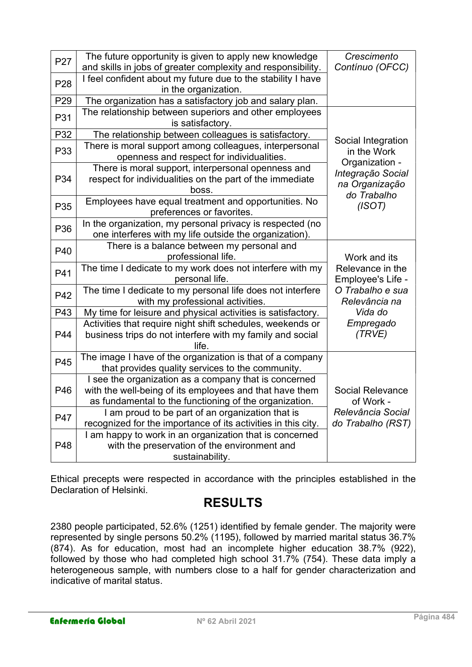| P <sub>27</sub> | The future opportunity is given to apply new knowledge<br>and skills in jobs of greater complexity and responsibility.                                                     | Crescimento<br>Contínuo (OFCC)                                       |  |  |  |
|-----------------|----------------------------------------------------------------------------------------------------------------------------------------------------------------------------|----------------------------------------------------------------------|--|--|--|
| P <sub>28</sub> | I feel confident about my future due to the stability I have<br>in the organization.                                                                                       |                                                                      |  |  |  |
| P29             | The organization has a satisfactory job and salary plan.                                                                                                                   |                                                                      |  |  |  |
| P31             | The relationship between superiors and other employees<br>is satisfactory.                                                                                                 |                                                                      |  |  |  |
| P32             | The relationship between colleagues is satisfactory.                                                                                                                       |                                                                      |  |  |  |
| P33             | There is moral support among colleagues, interpersonal<br>openness and respect for individualities.                                                                        | Social Integration<br>in the Work                                    |  |  |  |
| P34             | There is moral support, interpersonal openness and<br>respect for individualities on the part of the immediate<br>boss.                                                    | Organization -<br>Integração Social<br>na Organização<br>do Trabalho |  |  |  |
| P35             | Employees have equal treatment and opportunities. No<br>preferences or favorites.                                                                                          | (ISOT)                                                               |  |  |  |
| P36             | In the organization, my personal privacy is respected (no<br>one interferes with my life outside the organization).                                                        |                                                                      |  |  |  |
| P40             | There is a balance between my personal and<br>professional life.                                                                                                           | Work and its                                                         |  |  |  |
| P41             | The time I dedicate to my work does not interfere with my<br>personal life.                                                                                                | Relevance in the<br>Employee's Life -                                |  |  |  |
| P42             | The time I dedicate to my personal life does not interfere<br>with my professional activities.                                                                             | O Trabalho e sua<br>Relevância na                                    |  |  |  |
| P43             | My time for leisure and physical activities is satisfactory.                                                                                                               | Vida do                                                              |  |  |  |
| P44             | Activities that require night shift schedules, weekends or<br>business trips do not interfere with my family and social<br>life.                                           | Empregado<br>(TRVE)                                                  |  |  |  |
| P45             | The image I have of the organization is that of a company<br>that provides quality services to the community.                                                              |                                                                      |  |  |  |
| P46             | I see the organization as a company that is concerned<br>with the well-being of its employees and that have them<br>as fundamental to the functioning of the organization. | <b>Social Relevance</b><br>of Work -                                 |  |  |  |
| P47             | I am proud to be part of an organization that is<br>recognized for the importance of its activities in this city.                                                          | Relevância Social<br>do Trabalho (RST)                               |  |  |  |
| P48             | I am happy to work in an organization that is concerned<br>with the preservation of the environment and<br>sustainability.                                                 |                                                                      |  |  |  |

Ethical precepts were respected in accordance with the principles established in the Declaration of Helsinki.

# RESULTS

2380 people participated, 52.6% (1251) identified by female gender. The majority were represented by single persons 50.2% (1195), followed by married marital status 36.7% (874). As for education, most had an incomplete higher education 38.7% (922), followed by those who had completed high school 31.7% (754). These data imply a heterogeneous sample, with numbers close to a half for gender characterization and indicative of marital status.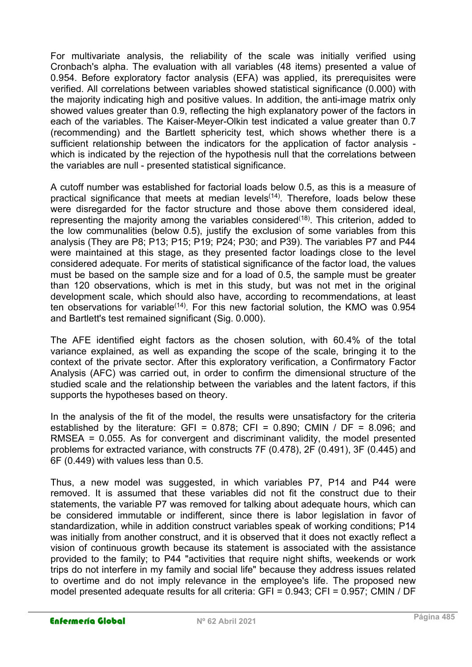For multivariate analysis, the reliability of the scale was initially verified using Cronbach's alpha. The evaluation with all variables (48 items) presented a value of 0.954. Before exploratory factor analysis (EFA) was applied, its prerequisites were verified. All correlations between variables showed statistical significance (0.000) with the majority indicating high and positive values. In addition, the anti-image matrix only showed values greater than 0.9, reflecting the high explanatory power of the factors in each of the variables. The Kaiser-Meyer-Olkin test indicated a value greater than 0.7 (recommending) and the Bartlett sphericity test, which shows whether there is a sufficient relationship between the indicators for the application of factor analysis which is indicated by the rejection of the hypothesis null that the correlations between the variables are null - presented statistical significance.

A cutoff number was established for factorial loads below 0.5, as this is a measure of practical significance that meets at median levels<sup>(14)</sup>. Therefore, loads below these were disregarded for the factor structure and those above them considered ideal, representing the majority among the variables considered<sup>(18)</sup>. This criterion, added to the low communalities (below 0.5), justify the exclusion of some variables from this analysis (They are P8; P13; P15; P19; P24; P30; and P39). The variables P7 and P44 were maintained at this stage, as they presented factor loadings close to the level considered adequate. For merits of statistical significance of the factor load, the values must be based on the sample size and for a load of 0.5, the sample must be greater than 120 observations, which is met in this study, but was not met in the original development scale, which should also have, according to recommendations, at least ten observations for variable(14). For this new factorial solution, the KMO was 0.954 and Bartlett's test remained significant (Sig. 0.000).

The AFE identified eight factors as the chosen solution, with 60.4% of the total variance explained, as well as expanding the scope of the scale, bringing it to the context of the private sector. After this exploratory verification, a Confirmatory Factor Analysis (AFC) was carried out, in order to confirm the dimensional structure of the studied scale and the relationship between the variables and the latent factors, if this supports the hypotheses based on theory.

In the analysis of the fit of the model, the results were unsatisfactory for the criteria established by the literature: GFI =  $0.878$ ; CFI =  $0.890$ ; CMIN / DF =  $8.096$ ; and RMSEA = 0.055. As for convergent and discriminant validity, the model presented problems for extracted variance, with constructs 7F (0.478), 2F (0.491), 3F (0.445) and 6F (0.449) with values less than 0.5.

Thus, a new model was suggested, in which variables P7, P14 and P44 were removed. It is assumed that these variables did not fit the construct due to their statements, the variable P7 was removed for talking about adequate hours, which can be considered immutable or indifferent, since there is labor legislation in favor of standardization, while in addition construct variables speak of working conditions; P14 was initially from another construct, and it is observed that it does not exactly reflect a vision of continuous growth because its statement is associated with the assistance provided to the family; to P44 "activities that require night shifts, weekends or work trips do not interfere in my family and social life" because they address issues related to overtime and do not imply relevance in the employee's life. The proposed new model presented adequate results for all criteria: GFI = 0.943; CFI = 0.957; CMIN / DF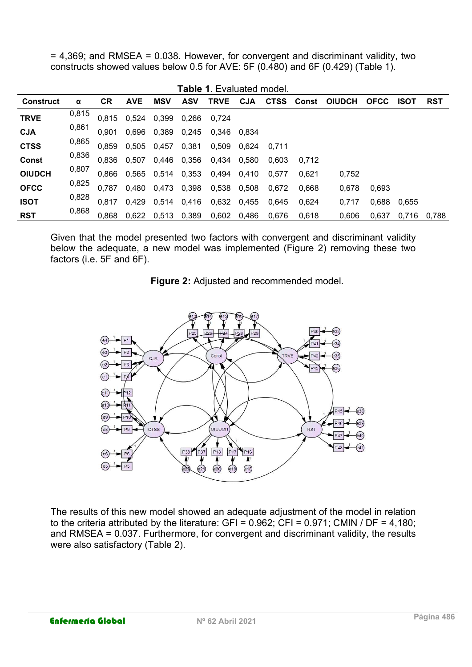= 4,369; and RMSEA = 0.038. However, for convergent and discriminant validity, two constructs showed values below 0.5 for AVE: 5F (0.480) and 6F (0.429) (Table 1).

 $\blacksquare$  the  $\blacksquare$ 

| L <b>able</b> 1. Evaluated model. |       |           |            |                         |            |             |       |                   |       |               |             |             |            |
|-----------------------------------|-------|-----------|------------|-------------------------|------------|-------------|-------|-------------------|-------|---------------|-------------|-------------|------------|
| <b>Construct</b>                  | α     | <b>CR</b> | <b>AVE</b> | <b>MSV</b>              | <b>ASV</b> | <b>TRVE</b> | CJA   | <b>CTSS</b> Const |       | <b>OIUDCH</b> | <b>OFCC</b> | <b>ISOT</b> | <b>RST</b> |
| <b>TRVE</b>                       | 0,815 |           |            | 0,815 0,524 0,399 0,266 |            | 0.724       |       |                   |       |               |             |             |            |
| <b>CJA</b>                        | 0,861 | 0.901     |            | 0,696 0,389 0,245       |            | 0,346       | 0.834 |                   |       |               |             |             |            |
| <b>CTSS</b>                       | 0,865 | 0.859     |            | 0,505 0,457 0,381       |            | 0,509       | 0.624 | 0.711             |       |               |             |             |            |
| <b>Const</b>                      | 0,836 |           |            | 0,836 0,507 0,446 0,356 |            | 0,434       | 0,580 | 0.603             | 0.712 |               |             |             |            |
| <b>OIUDCH</b>                     | 0,807 | 0.866     |            | 0,565 0,514 0,353       |            | 0,494       | 0,410 | 0.577             | 0.621 | 0.752         |             |             |            |
| <b>OFCC</b>                       | 0,825 | 0.787     |            | 0,480 0,473 0,398       |            | 0,538       | 0,508 | 0,672             | 0.668 | 0.678         | 0,693       |             |            |
| <b>ISOT</b>                       | 0,828 | 0.817     |            | 0,429 0,514 0,416       |            | 0,632       | 0.455 | 0.645             | 0.624 | 0.717         | 0,688       | 0.655       |            |
| <b>RST</b>                        | 0,868 | 0.868     |            | 0,622 0,513 0,389       |            | 0,602       | 0,486 | 0,676             | 0.618 | 0,606         | 0,637       | 0.716       | 0.788      |

Given that the model presented two factors with convergent and discriminant validity below the adequate, a new model was implemented (Figure 2) removing these two factors (i.e. 5F and 6F).

Figure 2: Adjusted and recommended model.



The results of this new model showed an adequate adjustment of the model in relation to the criteria attributed by the literature: GFI =  $0.962$ ; CFI =  $0.971$ ; CMIN / DF = 4,180; and RMSEA = 0.037. Furthermore, for convergent and discriminant validity, the results were also satisfactory (Table 2).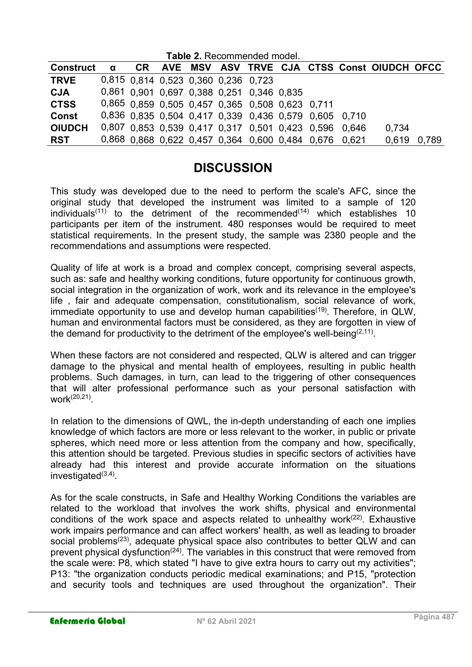| <b>Table 2. Recommended model.</b> |   |  |  |  |  |                                                 |  |                                                       |                                                       |                                                |       |
|------------------------------------|---|--|--|--|--|-------------------------------------------------|--|-------------------------------------------------------|-------------------------------------------------------|------------------------------------------------|-------|
| <b>Construct</b>                   | α |  |  |  |  |                                                 |  |                                                       |                                                       | CR AVE MSV ASV TRVE CJA CTSS Const OIUDCH OFCC |       |
| <b>TRVE</b>                        |   |  |  |  |  | 0,815 0.814 0,523 0,360 0,236 0,723             |  |                                                       |                                                       |                                                |       |
| <b>CJA</b>                         |   |  |  |  |  | 0,861 0.901 0.697 0.388 0.251 0.346 0.835       |  |                                                       |                                                       |                                                |       |
| <b>CTSS</b>                        |   |  |  |  |  | 0,865 0.859 0,505 0,457 0,365 0,508 0,623 0,711 |  |                                                       |                                                       |                                                |       |
| <b>Const</b>                       |   |  |  |  |  |                                                 |  |                                                       | 0,836 0,835 0,504 0,417 0,339 0,436 0,579 0,605 0,710 |                                                |       |
| <b>OIUDCH</b>                      |   |  |  |  |  |                                                 |  |                                                       | 0,807 0.853 0.539 0.417 0.317 0.501 0.423 0.596 0.646 | 0.734                                          |       |
| <b>RST</b>                         |   |  |  |  |  |                                                 |  | 0,868 0,868 0,622 0,457 0,364 0,600 0,484 0,676 0,621 |                                                       | 0,619                                          | 0,789 |

# **DISCUSSION**

This study was developed due to the need to perform the scale's AFC, since the original study that developed the instrument was limited to a sample of 120 individuals<sup>(11)</sup> to the detriment of the recommended<sup>(14)</sup> which establishes 10 participants per item of the instrument. 480 responses would be required to meet statistical requirements. In the present study, the sample was 2380 people and the recommendations and assumptions were respected.

Quality of life at work is a broad and complex concept, comprising several aspects, such as: safe and healthy working conditions, future opportunity for continuous growth, social integration in the organization of work, work and its relevance in the employee's life , fair and adequate compensation, constitutionalism, social relevance of work, immediate opportunity to use and develop human capabilities<sup>(19)</sup>. Therefore, in QLW, human and environmental factors must be considered, as they are forgotten in view of the demand for productivity to the detriment of the employee's well-being<sup>(2,11)</sup>.

When these factors are not considered and respected, QLW is altered and can trigger damage to the physical and mental health of employees, resulting in public health problems. Such damages, in turn, can lead to the triggering of other consequences that will alter professional performance such as your personal satisfaction with work(20,21) .

In relation to the dimensions of QWL, the in-depth understanding of each one implies knowledge of which factors are more or less relevant to the worker, in public or private spheres, which need more or less attention from the company and how, specifically, this attention should be targeted. Previous studies in specific sectors of activities have already had this interest and provide accurate information on the situations investigated<sup>(3,4)</sup>

As for the scale constructs, in Safe and Healthy Working Conditions the variables are related to the workload that involves the work shifts, physical and environmental conditions of the work space and aspects related to unhealthy work<sup> $(22)$ </sup>. Exhaustive work impairs performance and can affect workers' health, as well as leading to broader social problems<sup>(23)</sup>, adequate physical space also contributes to better QLW and can prevent physical dysfunction<sup>(24)</sup>. The variables in this construct that were removed from the scale were: P8, which stated "I have to give extra hours to carry out my activities"; P13: "the organization conducts periodic medical examinations; and P15, "protection and security tools and techniques are used throughout the organization". Their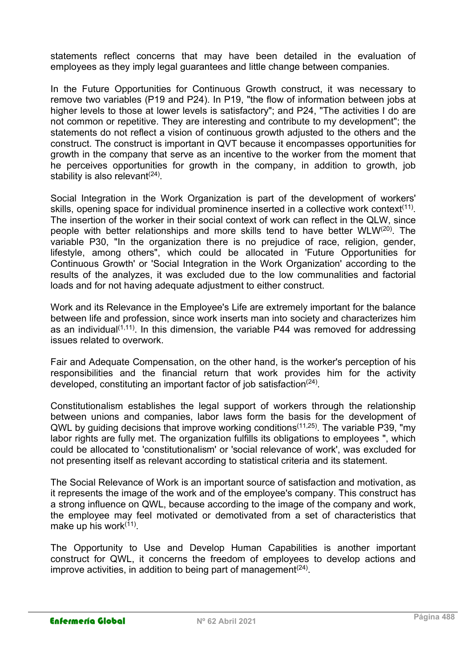statements reflect concerns that may have been detailed in the evaluation of employees as they imply legal guarantees and little change between companies.

In the Future Opportunities for Continuous Growth construct, it was necessary to remove two variables (P19 and P24). In P19, "the flow of information between jobs at higher levels to those at lower levels is satisfactory"; and P24, "The activities I do are not common or repetitive. They are interesting and contribute to my development"; the statements do not reflect a vision of continuous growth adjusted to the others and the construct. The construct is important in QVT because it encompasses opportunities for growth in the company that serve as an incentive to the worker from the moment that he perceives opportunities for growth in the company, in addition to growth, job stability is also relevant $^{(24)}.$ 

Social Integration in the Work Organization is part of the development of workers' skills, opening space for individual prominence inserted in a collective work context<sup>(11)</sup>. The insertion of the worker in their social context of work can reflect in the QLW, since people with better relationships and more skills tend to have better WLW(20). The variable P30, "In the organization there is no prejudice of race, religion, gender, lifestyle, among others", which could be allocated in 'Future Opportunities for Continuous Growth' or 'Social Integration in the Work Organization' according to the results of the analyzes, it was excluded due to the low communalities and factorial loads and for not having adequate adjustment to either construct.

Work and its Relevance in the Employee's Life are extremely important for the balance between life and profession, since work inserts man into society and characterizes him as an individual $(1,11)$ . In this dimension, the variable P44 was removed for addressing issues related to overwork.

Fair and Adequate Compensation, on the other hand, is the worker's perception of his responsibilities and the financial return that work provides him for the activity developed, constituting an important factor of job satisfaction $^{(24)}$ .

Constitutionalism establishes the legal support of workers through the relationship between unions and companies, labor laws form the basis for the development of QWL by guiding decisions that improve working conditions(11,25). The variable P39, "my labor rights are fully met. The organization fulfills its obligations to employees ", which could be allocated to 'constitutionalism' or 'social relevance of work', was excluded for not presenting itself as relevant according to statistical criteria and its statement.

The Social Relevance of Work is an important source of satisfaction and motivation, as it represents the image of the work and of the employee's company. This construct has a strong influence on QWL, because according to the image of the company and work, the employee may feel motivated or demotivated from a set of characteristics that make up his work<sup>(11)</sup>.

The Opportunity to Use and Develop Human Capabilities is another important construct for QWL, it concerns the freedom of employees to develop actions and improve activities, in addition to being part of management $^{(24)}$ .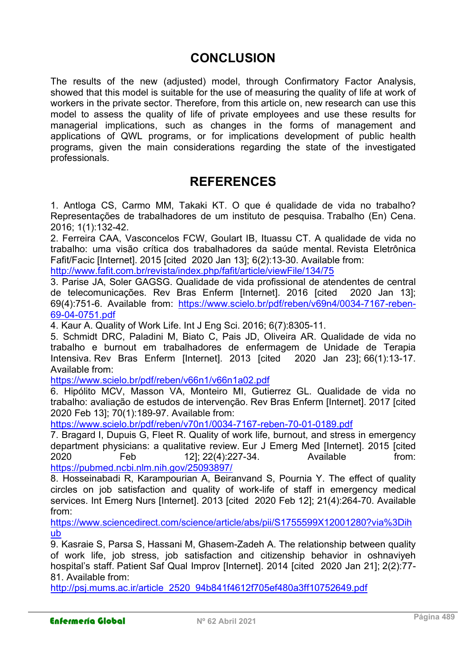## **CONCLUSION**

The results of the new (adjusted) model, through Confirmatory Factor Analysis, showed that this model is suitable for the use of measuring the quality of life at work of workers in the private sector. Therefore, from this article on, new research can use this model to assess the quality of life of private employees and use these results for managerial implications, such as changes in the forms of management and applications of QWL programs, or for implications development of public health programs, given the main considerations regarding the state of the investigated professionals.

### **REFERENCES**

1. Antloga CS, Carmo MM, Takaki KT. O que é qualidade de vida no trabalho? Representações de trabalhadores de um instituto de pesquisa. Trabalho (En) Cena. 2016; 1(1):132-42.

2. Ferreira CAA, Vasconcelos FCW, Goulart IB, Ituassu CT. A qualidade de vida no trabalho: uma visão crítica dos trabalhadores da saúde mental. Revista Eletrônica Fafit/Facic [Internet]. 2015 [cited 2020 Jan 13]; 6(2):13-30. Available from:

http://www.fafit.com.br/revista/index.php/fafit/article/viewFile/134/75

3. Parise JA, Soler GAGSG. Qualidade de vida profissional de atendentes de central de telecomunicações. Rev Bras Enferm [Internet]. 2016 [cited 2020 Jan 13]; 69(4):751-6. Available from: https://www.scielo.br/pdf/reben/v69n4/0034-7167-reben-69-04-0751.pdf

4. Kaur A. Quality of Work Life. Int J Eng Sci. 2016; 6(7):8305-11.

5. Schmidt DRC, Paladini M, Biato C, Pais JD, Oliveira AR. Qualidade de vida no trabalho e burnout em trabalhadores de enfermagem de Unidade de Terapia Intensiva. Rev Bras Enferm [Internet]. 2013 [cited 2020 Jan 23]; 66(1):13-17. Available from:

https://www.scielo.br/pdf/reben/v66n1/v66n1a02.pdf

6. Hipólito MCV, Masson VA, Monteiro MI, Gutierrez GL. Qualidade de vida no trabalho: avaliação de estudos de intervenção. Rev Bras Enferm [Internet]. 2017 [cited 2020 Feb 13]; 70(1):189-97. Available from:

https://www.scielo.br/pdf/reben/v70n1/0034-7167-reben-70-01-0189.pdf

7. Bragard I, Dupuis G, Fleet R. Quality of work life, burnout, and stress in emergency department physicians: a qualitative review. Eur J Emerg Med [Internet]. 2015 [cited 2020 Feb 12]; 22(4):227-34. Available from: https://pubmed.ncbi.nlm.nih.gov/25093897/

8. Hosseinabadi R, Karampourian A, Beiranvand S, Pournia Y. The effect of quality circles on job satisfaction and quality of work-life of staff in emergency medical services. Int Emerg Nurs [Internet]. 2013 [cited 2020 Feb 12]; 21(4):264-70. Available from:

https://www.sciencedirect.com/science/article/abs/pii/S1755599X12001280?via%3Dih ub

9. Kasraie S, Parsa S, Hassani M, Ghasem-Zadeh A. The relationship between quality of work life, job stress, job satisfaction and citizenship behavior in oshnaviyeh hospital's staff. Patient Saf Qual Improv [Internet]. 2014 [cited 2020 Jan 21]; 2(2):77- 81. Available from:

http://psj.mums.ac.ir/article\_2520\_94b841f4612f705ef480a3ff10752649.pdf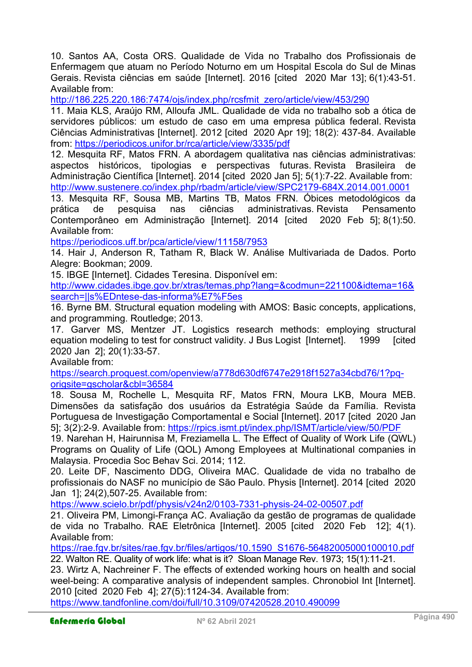10. Santos AA, Costa ORS. Qualidade de Vida no Trabalho dos Profissionais de Enfermagem que atuam no Período Noturno em um Hospital Escola do Sul de Minas Gerais. Revista ciências em saúde [Internet]. 2016 [cited 2020 Mar 13]; 6(1):43-51. Available from:

http://186.225.220.186:7474/ojs/index.php/rcsfmit\_zero/article/view/453/290

11. Maia KLS, Araújo RM, Alloufa JML. Qualidade de vida no trabalho sob a ótica de servidores públicos: um estudo de caso em uma empresa pública federal. Revista Ciências Administrativas [Internet]. 2012 [cited 2020 Apr 19]; 18(2): 437-84. Available from: https://periodicos.unifor.br/rca/article/view/3335/pdf

12. Mesquita RF, Matos FRN. A abordagem qualitativa nas ciências administrativas: aspectos históricos, tipologias e perspectivas futuras. Revista Brasileira de Administração Científica [Internet]. 2014 [cited 2020 Jan 5]; 5(1):7-22. Available from: http://www.sustenere.co/index.php/rbadm/article/view/SPC2179-684X.2014.001.0001

13. Mesquita RF, Sousa MB, Martins TB, Matos FRN. Óbices metodológicos da prática de pesquisa nas ciências administrativas. Revista Pensamento Contemporâneo em Administração [Internet]. 2014 [cited 2020 Feb 5]; 8(1):50. Available from:

https://periodicos.uff.br/pca/article/view/11158/7953

14. Hair J, Anderson R, Tatham R, Black W. Análise Multivariada de Dados. Porto Alegre: Bookman; 2009.

15. IBGE [Internet]. Cidades Teresina. Disponível em:

http://www.cidades.ibge.gov.br/xtras/temas.php?lang=&codmun=221100&idtema=16& search=||s%EDntese-das-informa%E7%F5es

16. Byrne BM. Structural equation modeling with AMOS: Basic concepts, applications, and programming. Routledge; 2013.

17. Garver MS, Mentzer JT. Logistics research methods: employing structural equation modeling to test for construct validity. J Bus Logist [Internet]. 1999 [cited 2020 Jan 2]; 20(1):33-57.

Available from:

https://search.proquest.com/openview/a778d630df6747e2918f1527a34cbd76/1?pqorigsite=gscholar&cbl=36584

18. Sousa M, Rochelle L, Mesquita RF, Matos FRN, Moura LKB, Moura MEB. Dimensões da satisfação dos usuários da Estratégia Saúde da Família. Revista Portuguesa de Investigação Comportamental e Social [Internet]. 2017 [cited 2020 Jan 5]; 3(2):2-9. Available from: https://rpics.ismt.pt/index.php/ISMT/article/view/50/PDF

19. Narehan H, Hairunnisa M, Freziamella L. The Effect of Quality of Work Life (QWL) Programs on Quality of Life (QOL) Among Employees at Multinational companies in Malaysia. Procedia Soc Behav Sci. 2014; 112.

20. Leite DF, Nascimento DDG, Oliveira MAC. Qualidade de vida no trabalho de profissionais do NASF no município de São Paulo. Physis [Internet]. 2014 [cited 2020 Jan 1]; 24(2),507-25. Available from:

https://www.scielo.br/pdf/physis/v24n2/0103-7331-physis-24-02-00507.pdf

21. Oliveira PM, Limongi-França AC. Avaliação da gestão de programas de qualidade de vida no Trabalho. RAE Eletrônica [Internet]. 2005 [cited 2020 Feb 12]; 4(1). Available from:

https://rae.fgv.br/sites/rae.fgv.br/files/artigos/10.1590\_S1676-56482005000100010.pdf 22. Walton RE. Quality of work life: what is it? Sloan Manage Rev. 1973; 15(1):11-21.

23. Wirtz A, Nachreiner F. The effects of extended working hours on health and social weel-being: A comparative analysis of independent samples. Chronobiol Int [Internet]. 2010 [cited 2020 Feb 4]; 27(5):1124-34. Available from:

https://www.tandfonline.com/doi/full/10.3109/07420528.2010.490099